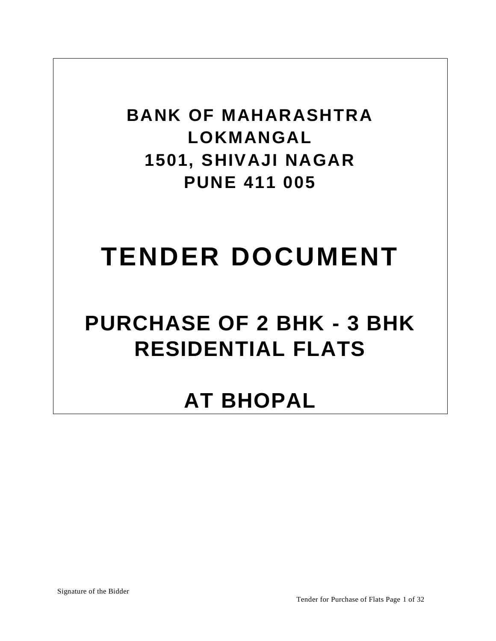**BANK OF MAHARASHTRA LOKMANGAL 1501, SHIVAJI NAGAR PUNE 411 005**

# **TENDER DOCUMENT**

# **PURCHASE OF 2 BHK - 3 BHK RESIDENTIAL FLATS**

# **AT BHOPAL**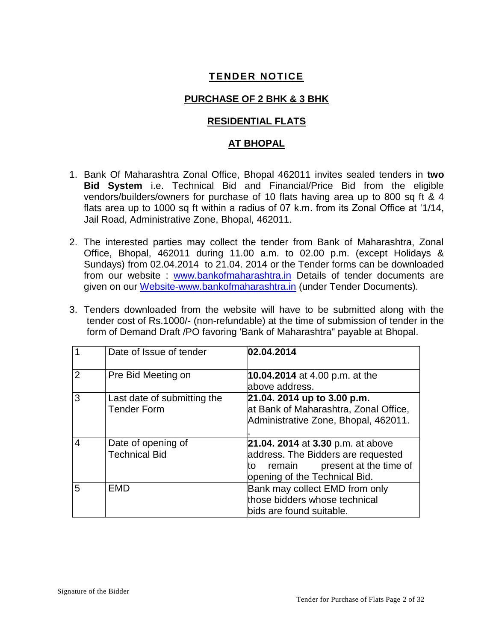# **TENDER NOTICE**

# **PURCHASE OF 2 BHK & 3 BHK**

### **RESIDENTIAL FLATS**

## **AT BHOPAL**

- 1. Bank Of Maharashtra Zonal Office, Bhopal 462011 invites sealed tenders in **two Bid System** i.e. Technical Bid and Financial/Price Bid from the eligible vendors/builders/owners for purchase of 10 flats having area up to 800 sq ft & 4 flats area up to 1000 sq ft within a radius of 07 k.m. from its Zonal Office at '1/14, Jail Road, Administrative Zone, Bhopal, 462011.
- 2. The interested parties may collect the tender from Bank of Maharashtra, Zonal Office, Bhopal, 462011 during 11.00 a.m. to 02.00 p.m. (except Holidays & Sundays) from 02.04.2014 to 21.04. 2014 or the Tender forms can be downloaded from our website : [www.bankofmaharashtra.in](http://www.bankofmaharashtra.in/) Details of tender documents are given on our [Website-www.bankofmaharashtra.in](http://website-www.bankofmaharashtra.in/) (under Tender Documents).
- 3. Tenders downloaded from the website will have to be submitted along with the tender cost of Rs.1000/- (non-refundable) at the time of submission of tender in the form of Demand Draft /PO favoring 'Bank of Maharashtra" payable at Bhopal.

|   | Date of Issue of tender                           | 02.04.2014                                                                                                                                         |
|---|---------------------------------------------------|----------------------------------------------------------------------------------------------------------------------------------------------------|
| 2 | Pre Bid Meeting on                                | 10.04.2014 at 4.00 p.m. at the<br>above address.                                                                                                   |
| 3 | Last date of submitting the<br><b>Tender Form</b> | 21.04. 2014 up to 3.00 p.m.<br>at Bank of Maharashtra, Zonal Office,<br>Administrative Zone, Bhopal, 462011.                                       |
| 4 | Date of opening of<br><b>Technical Bid</b>        | 21.04. 2014 at 3.30 p.m. at above<br>address. The Bidders are requested<br>present at the time of<br>remain<br>to<br>opening of the Technical Bid. |
| 5 | <b>EMD</b>                                        | Bank may collect EMD from only<br>those bidders whose technical<br>bids are found suitable.                                                        |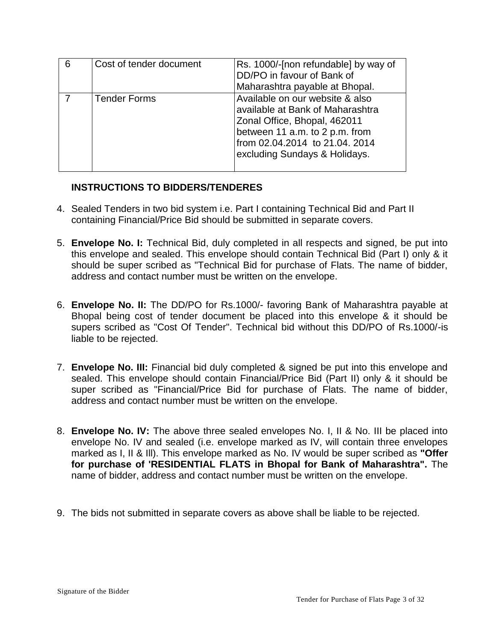| 6 | Cost of tender document | Rs. 1000/-[non refundable] by way of<br>DD/PO in favour of Bank of<br>Maharashtra payable at Bhopal.                                                                                                     |
|---|-------------------------|----------------------------------------------------------------------------------------------------------------------------------------------------------------------------------------------------------|
|   | <b>Tender Forms</b>     | Available on our website & also<br>available at Bank of Maharashtra<br>Zonal Office, Bhopal, 462011<br>between 11 a.m. to 2 p.m. from<br>from 02.04.2014 to 21.04. 2014<br>excluding Sundays & Holidays. |

## **INSTRUCTIONS TO BIDDERS/TENDERES**

- 4. Sealed Tenders in two bid system i.e. Part I containing Technical Bid and Part II containing Financial/Price Bid should be submitted in separate covers.
- 5. **Envelope No. I:** Technical Bid, duly completed in all respects and signed, be put into this envelope and sealed. This envelope should contain Technical Bid (Part I) only & it should be super scribed as "Technical Bid for purchase of Flats. The name of bidder, address and contact number must be written on the envelope.
- 6. **Envelope No. II:** The DD/PO for Rs.1000/- favoring Bank of Maharashtra payable at Bhopal being cost of tender document be placed into this envelope & it should be supers scribed as "Cost Of Tender". Technical bid without this DD/PO of Rs.1000/-is liable to be rejected.
- 7. **Envelope No. III:** Financial bid duly completed & signed be put into this envelope and sealed. This envelope should contain Financial/Price Bid (Part II) only & it should be super scribed as "Financial/Price Bid for purchase of Flats. The name of bidder, address and contact number must be written on the envelope.
- 8. **Envelope No. IV:** The above three sealed envelopes No. I, II & No. III be placed into envelope No. IV and sealed (i.e. envelope marked as IV, will contain three envelopes marked as I, II & Ill). This envelope marked as No. IV would be super scribed as **"Offer for purchase of 'RESIDENTIAL FLATS in Bhopal for Bank of Maharashtra".** The name of bidder, address and contact number must be written on the envelope.
- 9. The bids not submitted in separate covers as above shall be liable to be rejected.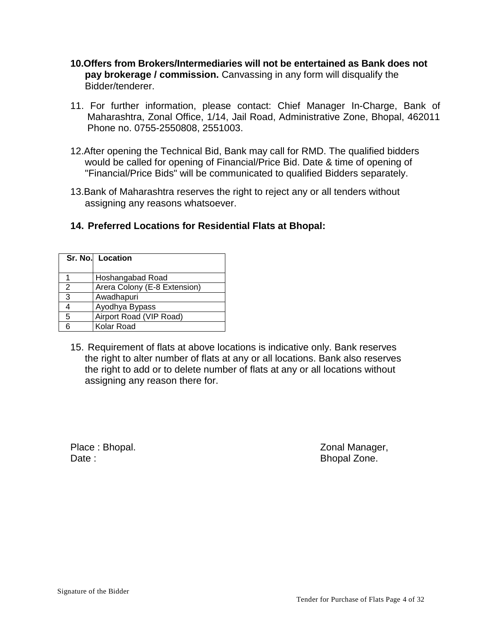- **10.Offers from Brokers/Intermediaries will not be entertained as Bank does not pay brokerage / commission.** Canvassing in any form will disqualify the Bidder/tenderer.
- 11. For further information, please contact: Chief Manager In-Charge, Bank of Maharashtra, Zonal Office, 1/14, Jail Road, Administrative Zone, Bhopal, 462011 Phone no. 0755-2550808, 2551003.
- 12.After opening the Technical Bid, Bank may call for RMD. The qualified bidders would be called for opening of Financial/Price Bid. Date & time of opening of "Financial/Price Bids" will be communicated to qualified Bidders separately.
- 13.Bank of Maharashtra reserves the right to reject any or all tenders without assigning any reasons whatsoever.

# **14. Preferred Locations for Residential Flats at Bhopal:**

| Sr. No. Location |                              |  |
|------------------|------------------------------|--|
|                  | Hoshangabad Road             |  |
| 2                | Arera Colony (E-8 Extension) |  |
| 3                | Awadhapuri                   |  |
| 4                | Ayodhya Bypass               |  |
| 5                | Airport Road (VIP Road)      |  |
| ี่ก              | Kolar Road                   |  |

15. Requirement of flats at above locations is indicative only. Bank reserves the right to alter number of flats at any or all locations. Bank also reserves the right to add or to delete number of flats at any or all locations without assigning any reason there for.

Date : **Bhopal Zone. Date : Bhopal Zone. Bhopal Zone.** 

Place : Bhopal. **Zonal Manager, Solution** 2011 12:30 National Manager, 2012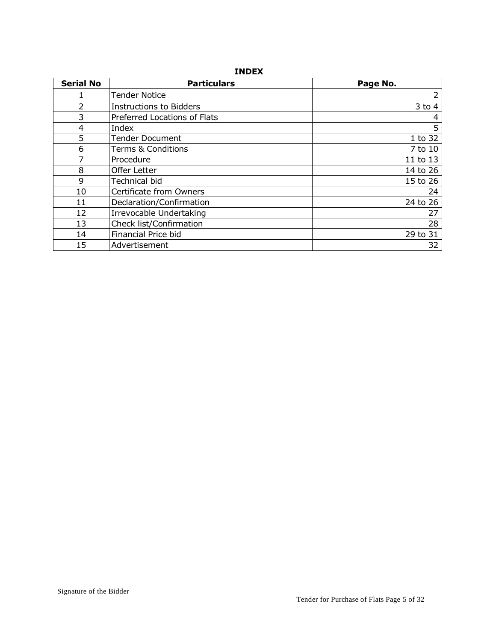#### **INDEX**

| <b>Serial No</b> | <b>Particulars</b>             | Page No.   |
|------------------|--------------------------------|------------|
|                  | <b>Tender Notice</b>           | 2          |
| 2                | <b>Instructions to Bidders</b> | $3$ to $4$ |
| 3                | Preferred Locations of Flats   | 4          |
| 4                | Index                          | 5          |
| 5                | <b>Tender Document</b>         | 1 to 32    |
| 6                | <b>Terms &amp; Conditions</b>  | 7 to 10    |
|                  | Procedure                      | 11 to 13   |
| 8                | <b>Offer Letter</b>            | 14 to 26   |
| 9                | Technical bid                  | 15 to 26   |
| 10               | Certificate from Owners        | 24         |
| 11               | Declaration/Confirmation       | 24 to 26   |
| 12               | Irrevocable Undertaking        | 27         |
| 13               | Check list/Confirmation        | 28         |
| 14               | Financial Price bid            | 29 to 31   |
| 15               | Advertisement                  | 32         |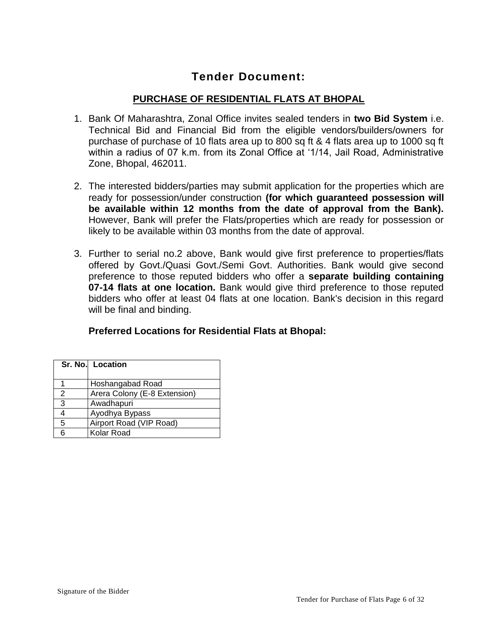# **Tender Document:**

# **PURCHASE OF RESIDENTIAL FLATS AT BHOPAL**

- 1. Bank Of Maharashtra, Zonal Office invites sealed tenders in **two Bid System** i.e. Technical Bid and Financial Bid from the eligible vendors/builders/owners for purchase of purchase of 10 flats area up to 800 sq ft & 4 flats area up to 1000 sq ft within a radius of 07 k.m. from its Zonal Office at '1/14, Jail Road, Administrative Zone, Bhopal, 462011.
- 2. The interested bidders/parties may submit application for the properties which are ready for possession/under construction **(for which guaranteed possession will be available within 12 months from the date of approval from the Bank).**  However, Bank will prefer the Flats/properties which are ready for possession or likely to be available within 03 months from the date of approval.
- 3. Further to serial no.2 above, Bank would give first preference to properties/flats offered by Govt./Quasi Govt./Semi Govt. Authorities. Bank would give second preference to those reputed bidders who offer a **separate building containing 07-14 flats at one location.** Bank would give third preference to those reputed bidders who offer at least 04 flats at one location. Bank's decision in this regard will be final and binding.

# **Preferred Locations for Residential Flats at Bhopal:**

|               | Sr. No. Location             |  |
|---------------|------------------------------|--|
|               | Hoshangabad Road             |  |
| $\mathcal{P}$ | Arera Colony (E-8 Extension) |  |
| 3             | Awadhapuri                   |  |
| 4             | Ayodhya Bypass               |  |
| 5             | Airport Road (VIP Road)      |  |
| ่ค            | Kolar Road                   |  |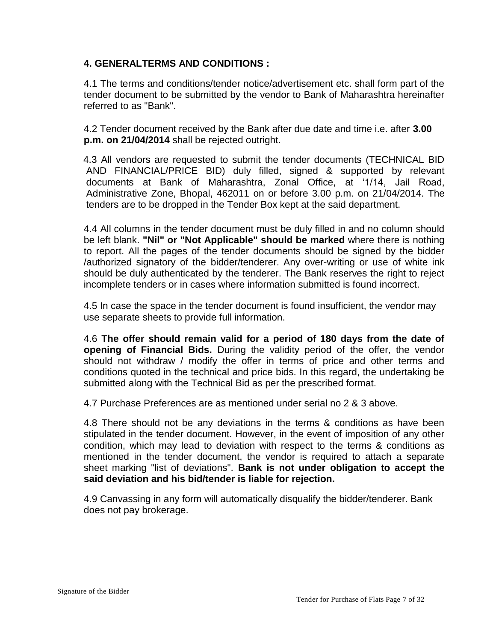# **4. GENERALTERMS AND CONDITIONS :**

4.1 The terms and conditions/tender notice/advertisement etc. shall form part of the tender document to be submitted by the vendor to Bank of Maharashtra hereinafter referred to as "Bank".

4.2 Tender document received by the Bank after due date and time i.e. after **3.00 p.m. on 21/04/2014** shall be rejected outright.

 4.3 All vendors are requested to submit the tender documents (TECHNICAL BID AND FINANCIAL/PRICE BID) duly filled, signed & supported by relevant documents at Bank of Maharashtra, Zonal Office, at '1/14, Jail Road, Administrative Zone, Bhopal, 462011 on or before 3.00 p.m. on 21/04/2014. The tenders are to be dropped in the Tender Box kept at the said department.

4.4 All columns in the tender document must be duly filled in and no column should be left blank. **"Nil" or "Not Applicable" should be marked** where there is nothing to report. All the pages of the tender documents should be signed by the bidder /authorized signatory of the bidder/tenderer. Any over-writing or use of white ink should be duly authenticated by the tenderer. The Bank reserves the right to reject incomplete tenders or in cases where information submitted is found incorrect.

4.5 In case the space in the tender document is found insufficient, the vendor may use separate sheets to provide full information.

4.6 **The offer should remain valid for a period of 180 days from the date of opening of Financial Bids.** During the validity period of the offer, the vendor should not withdraw / modify the offer in terms of price and other terms and conditions quoted in the technical and price bids. In this regard, the undertaking be submitted along with the Technical Bid as per the prescribed format.

4.7 Purchase Preferences are as mentioned under serial no 2 & 3 above.

4.8 There should not be any deviations in the terms & conditions as have been stipulated in the tender document. However, in the event of imposition of any other condition, which may lead to deviation with respect to the terms & conditions as mentioned in the tender document, the vendor is required to attach a separate sheet marking "list of deviations". **Bank is not under obligation to accept the said deviation and his bid/tender is liable for rejection.**

4.9 Canvassing in any form will automatically disqualify the bidder/tenderer. Bank does not pay brokerage.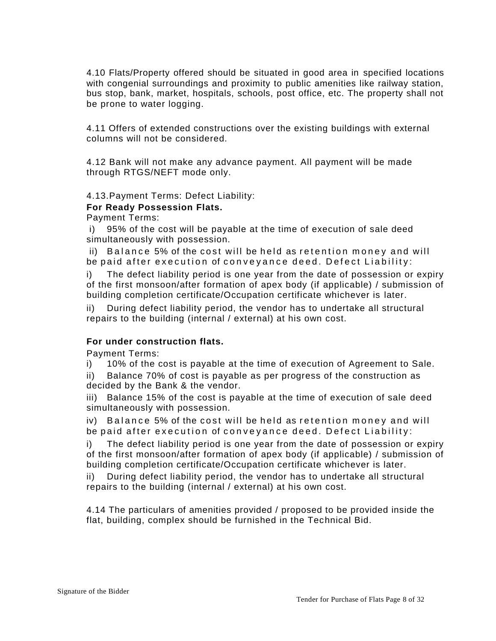4.10 Flats/Property offered should be situated in good area in specified locations with congenial surroundings and proximity to public amenities like railway station, bus stop, bank, market, hospitals, schools, post office, etc. The property shall not be prone to water logging.

4.11 Offers of extended constructions over the existing buildings with external columns will not be considered.

4.12 Bank will not make any advance payment. All payment will be made through RTGS/NEFT mode only.

4.13.Payment Terms: Defect Liability:

#### **For Ready Possession Flats.**

Payment Terms:

i) 95% of the cost will be payable at the time of execution of sale deed simultaneously with possession.

ii) Balance 5% of the cost will be held as retention money and will be paid after execution of conveyance deed. Defect Liability:

i) The defect liability period is one year from the date of possession or expiry of the first monsoon/after formation of apex body (if applicable) / submission of building completion certificate/Occupation certificate whichever is later.

ii) During defect liability period, the vendor has to undertake all structural repairs to the building (internal / external) at his own cost.

#### **For under construction flats.**

Payment Terms:

i) 10% of the cost is payable at the time of execution of Agreement to Sale.

ii) Balance 70% of cost is payable as per progress of the construction as decided by the Bank & the vendor.

iii) Balance 15% of the cost is payable at the time of execution of sale deed simultaneously with possession.

iv) Balance 5% of the cost will be held as retention money and will be paid after execution of conveyance deed. Defect Liability:

i) The defect liability period is one year from the date of possession or expiry of the first monsoon/after formation of apex body (if applicable) / submission of building completion certificate/Occupation certificate whichever is later.

ii) During defect liability period, the vendor has to undertake all structural repairs to the building (internal / external) at his own cost.

4.14 The particulars of amenities provided / proposed to be provided inside the flat, building, complex should be furnished in the Technical Bid.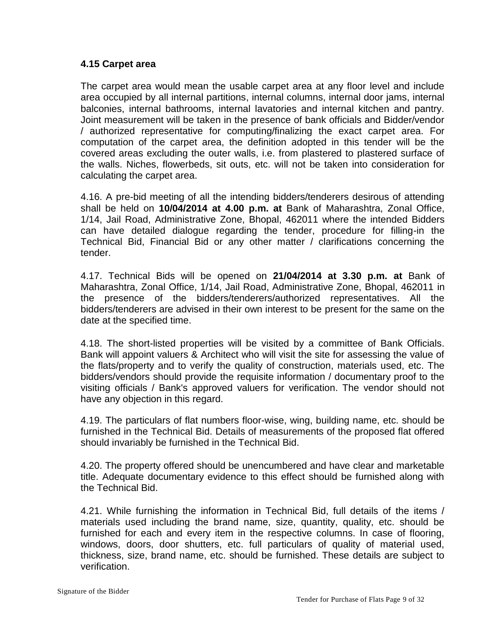### **4.15 Carpet area**

The carpet area would mean the usable carpet area at any floor level and include area occupied by all internal partitions, internal columns, internal door jams, internal balconies, internal bathrooms, internal lavatories and internal kitchen and pantry. Joint measurement will be taken in the presence of bank officials and Bidder/vendor / authorized representative for computing/finalizing the exact carpet area. For computation of the carpet area, the definition adopted in this tender will be the covered areas excluding the outer walls, i.e. from plastered to plastered surface of the walls. Niches, flowerbeds, sit outs, etc. will not be taken into consideration for calculating the carpet area.

4.16. A pre-bid meeting of all the intending bidders/tenderers desirous of attending shall be held on **10/04/2014 at 4.00 p.m. at** Bank of Maharashtra, Zonal Office, 1/14, Jail Road, Administrative Zone, Bhopal, 462011 where the intended Bidders can have detailed dialogue regarding the tender, procedure for filling-in the Technical Bid, Financial Bid or any other matter / clarifications concerning the tender.

4.17. Technical Bids will be opened on **21/04/2014 at 3.30 p.m. at** Bank of Maharashtra, Zonal Office, 1/14, Jail Road, Administrative Zone, Bhopal, 462011 in the presence of the bidders/tenderers/authorized representatives. All the bidders/tenderers are advised in their own interest to be present for the same on the date at the specified time.

4.18. The short-listed properties will be visited by a committee of Bank Officials. Bank will appoint valuers & Architect who will visit the site for assessing the value of the flats/property and to verify the quality of construction, materials used, etc. The bidders/vendors should provide the requisite information / documentary proof to the visiting officials / Bank's approved valuers for verification. The vendor should not have any objection in this regard.

4.19. The particulars of flat numbers floor-wise, wing, building name, etc. should be furnished in the Technical Bid. Details of measurements of the proposed flat offered should invariably be furnished in the Technical Bid.

4.20. The property offered should be unencumbered and have clear and marketable title. Adequate documentary evidence to this effect should be furnished along with the Technical Bid.

4.21. While furnishing the information in Technical Bid, full details of the items / materials used including the brand name, size, quantity, quality, etc. should be furnished for each and every item in the respective columns. In case of flooring, windows, doors, door shutters, etc. full particulars of quality of material used, thickness, size, brand name, etc. should be furnished. These details are subject to verification.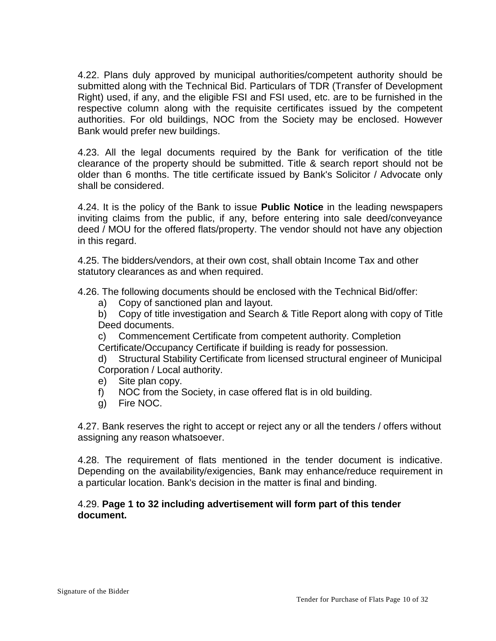4.22. Plans duly approved by municipal authorities/competent authority should be submitted along with the Technical Bid. Particulars of TDR (Transfer of Development Right) used, if any, and the eligible FSI and FSI used, etc. are to be furnished in the respective column along with the requisite certificates issued by the competent authorities. For old buildings, NOC from the Society may be enclosed. However Bank would prefer new buildings.

4.23. All the legal documents required by the Bank for verification of the title clearance of the property should be submitted. Title & search report should not be older than 6 months. The title certificate issued by Bank's Solicitor / Advocate only shall be considered.

4.24. It is the policy of the Bank to issue **Public Notice** in the leading newspapers inviting claims from the public, if any, before entering into sale deed/conveyance deed / MOU for the offered flats/property. The vendor should not have any objection in this regard.

4.25. The bidders/vendors, at their own cost, shall obtain Income Tax and other statutory clearances as and when required.

4.26. The following documents should be enclosed with the Technical Bid/offer:

a) Copy of sanctioned plan and layout.

b) Copy of title investigation and Search & Title Report along with copy of Title Deed documents.

c) Commencement Certificate from competent authority. Completion Certificate/Occupancy Certificate if building is ready for possession.

- d) Structural Stability Certificate from licensed structural engineer of Municipal Corporation / Local authority.
- e) Site plan copy.
- f) NOC from the Society, in case offered flat is in old building.
- g) Fire NOC.

4.27. Bank reserves the right to accept or reject any or all the tenders / offers without assigning any reason whatsoever.

4.28. The requirement of flats mentioned in the tender document is indicative. Depending on the availability/exigencies, Bank may enhance/reduce requirement in a particular location. Bank's decision in the matter is final and binding.

## 4.29. **Page 1 to 32 including advertisement will form part of this tender document.**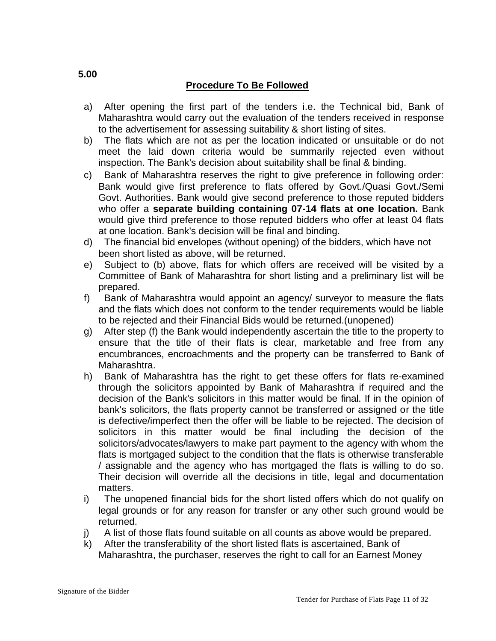# **Procedure To Be Followed**

- a) After opening the first part of the tenders i.e. the Technical bid, Bank of Maharashtra would carry out the evaluation of the tenders received in response to the advertisement for assessing suitability & short listing of sites.
- b) The flats which are not as per the location indicated or unsuitable or do not meet the laid down criteria would be summarily rejected even without inspection. The Bank's decision about suitability shall be final & binding.
- c) Bank of Maharashtra reserves the right to give preference in following order: Bank would give first preference to flats offered by Govt./Quasi Govt./Semi Govt. Authorities. Bank would give second preference to those reputed bidders who offer a **separate building containing 07-14 flats at one location.** Bank would give third preference to those reputed bidders who offer at least 04 flats at one location. Bank's decision will be final and binding.
- d) The financial bid envelopes (without opening) of the bidders, which have not been short listed as above, will be returned.
- e) Subject to (b) above, flats for which offers are received will be visited by a Committee of Bank of Maharashtra for short listing and a preliminary list will be prepared.
- f) Bank of Maharashtra would appoint an agency/ surveyor to measure the flats and the flats which does not conform to the tender requirements would be liable to be rejected and their Financial Bids would be returned.(unopened)
- g) After step (f) the Bank would independently ascertain the title to the property to ensure that the title of their flats is clear, marketable and free from any encumbrances, encroachments and the property can be transferred to Bank of Maharashtra.
- h) Bank of Maharashtra has the right to get these offers for flats re-examined through the solicitors appointed by Bank of Maharashtra if required and the decision of the Bank's solicitors in this matter would be final. If in the opinion of bank's solicitors, the flats property cannot be transferred or assigned or the title is defective/imperfect then the offer will be liable to be rejected. The decision of solicitors in this matter would be final including the decision of the solicitors/advocates/lawyers to make part payment to the agency with whom the flats is mortgaged subject to the condition that the flats is otherwise transferable / assignable and the agency who has mortgaged the flats is willing to do so. Their decision will override all the decisions in title, legal and documentation matters.
- i) The unopened financial bids for the short listed offers which do not qualify on legal grounds or for any reason for transfer or any other such ground would be returned.
- j) A list of those flats found suitable on all counts as above would be prepared.
- k) After the transferability of the short listed flats is ascertained, Bank of Maharashtra, the purchaser, reserves the right to call for an Earnest Money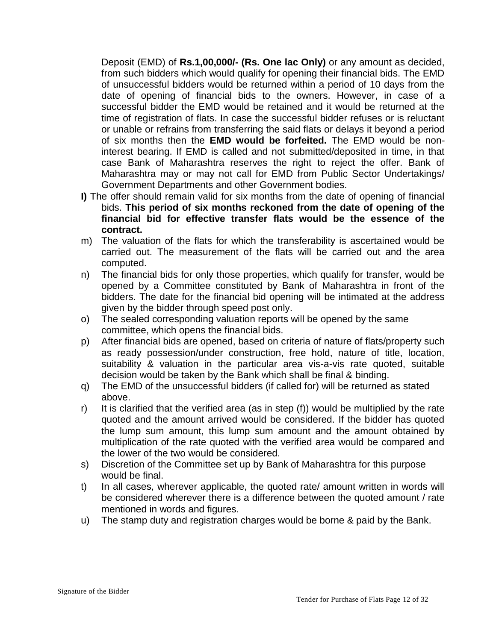Deposit (EMD) of **Rs.1,00,000/- (Rs. One lac Only)** or any amount as decided, from such bidders which would qualify for opening their financial bids. The EMD of unsuccessful bidders would be returned within a period of 10 days from the date of opening of financial bids to the owners. However, in case of a successful bidder the EMD would be retained and it would be returned at the time of registration of flats. In case the successful bidder refuses or is reluctant or unable or refrains from transferring the said flats or delays it beyond a period of six months then the **EMD would be forfeited.** The EMD would be noninterest bearing. If EMD is called and not submitted/deposited in time, in that case Bank of Maharashtra reserves the right to reject the offer. Bank of Maharashtra may or may not call for EMD from Public Sector Undertakings/ Government Departments and other Government bodies.

- **I)** The offer should remain valid for six months from the date of opening of financial bids. **This period of six months reckoned from the date of opening of the financial bid for effective transfer flats would be the essence of the contract.**
- m) The valuation of the flats for which the transferability is ascertained would be carried out. The measurement of the flats will be carried out and the area computed.
- n) The financial bids for only those properties, which qualify for transfer, would be opened by a Committee constituted by Bank of Maharashtra in front of the bidders. The date for the financial bid opening will be intimated at the address given by the bidder through speed post only.
- o) The sealed corresponding valuation reports will be opened by the same committee, which opens the financial bids.
- p) After financial bids are opened, based on criteria of nature of flats/property such as ready possession/under construction, free hold, nature of title, location, suitability & valuation in the particular area vis-a-vis rate quoted, suitable decision would be taken by the Bank which shall be final & binding.
- q) The EMD of the unsuccessful bidders (if called for) will be returned as stated above.
- r) It is clarified that the verified area (as in step (f)) would be multiplied by the rate quoted and the amount arrived would be considered. If the bidder has quoted the lump sum amount, this lump sum amount and the amount obtained by multiplication of the rate quoted with the verified area would be compared and the lower of the two would be considered.
- s) Discretion of the Committee set up by Bank of Maharashtra for this purpose would be final.
- t) In all cases, wherever applicable, the quoted rate/ amount written in words will be considered wherever there is a difference between the quoted amount / rate mentioned in words and figures.
- u) The stamp duty and registration charges would be borne & paid by the Bank.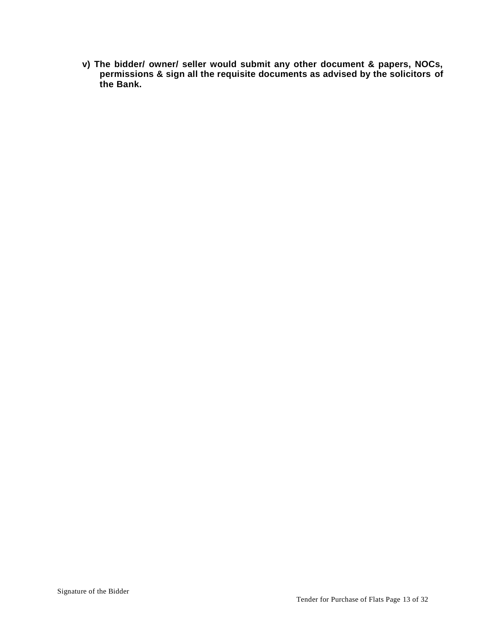**v) The bidder/ owner/ seller would submit any other document & papers, NOCs, permissions & sign all the requisite documents as advised by the solicitors of the Bank.**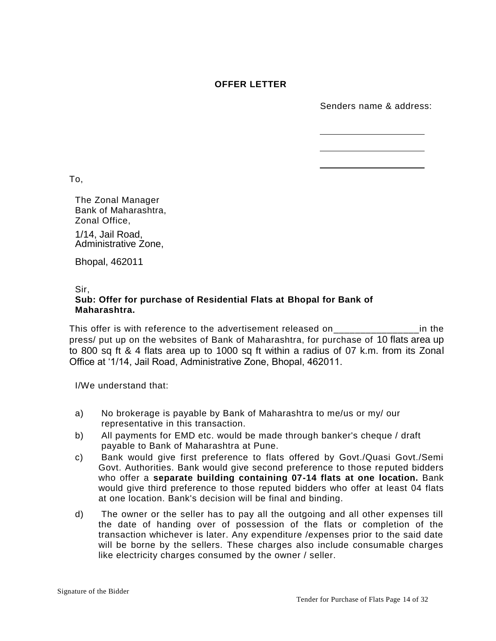#### **OFFER LETTER**

Senders name & address:

To,

The Zonal Manager Bank of Maharashtra, Zonal Office, 1/14, Jail Road, Administrative Zone,

Bhopal, 462011

#### Sir, **Sub: Offer for purchase of Residential Flats at Bhopal for Bank of Maharashtra.**

This offer is with reference to the advertisement released on\_\_\_\_\_\_\_\_\_\_\_\_\_\_\_\_\_\_\_in the press/ put up on the websites of Bank of Maharashtra, for purchase of 10 flats area up to 800 sq ft & 4 flats area up to 1000 sq ft within a radius of 07 k.m. from its Zonal Office at '1/14, Jail Road, Administrative Zone, Bhopal, 462011.

I/We understand that:

- a) No brokerage is payable by Bank of Maharashtra to me/us or my/ our representative in this transaction.
- b) All payments for EMD etc. would be made through banker's cheque / draft payable to Bank of Maharashtra at Pune.
- c) Bank would give first preference to flats offered by Govt./Quasi Govt./Semi Govt. Authorities. Bank would give second preference to those reputed bidders who offer a **separate building containing 07-14 flats at one location.** Bank would give third preference to those reputed bidders who offer at least 04 flats at one location. Bank's decision will be final and binding.
- d) The owner or the seller has to pay all the outgoing and all other expenses till the date of handing over of possession of the flats or completion of the transaction whichever is later. Any expenditure /expenses prior to the said date will be borne by the sellers. These charges also include consumable charges like electricity charges consumed by the owner / seller.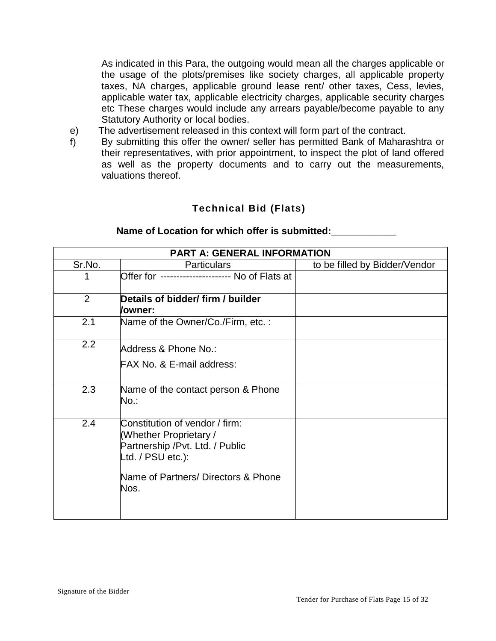As indicated in this Para, the outgoing would mean all the charges applicable or the usage of the plots/premises like society charges, all applicable property taxes, NA charges, applicable ground lease rent/ other taxes, Cess, levies, applicable water tax, applicable electricity charges, applicable security charges etc These charges would include any arrears payable/become payable to any Statutory Authority or local bodies.

- The advertisement released in this context will form part of the contract. e)
- By submitting this offer the owner/ seller has permitted Bank of Maharashtra or their representatives, with prior appointment, to inspect the plot of land offered as well as the property documents and to carry out the measurements, valuations thereof. f)

# **Technical Bid (Flats)**

| <b>PART A: GENERAL INFORMATION</b> |                                                                                                                                                                  |                               |  |
|------------------------------------|------------------------------------------------------------------------------------------------------------------------------------------------------------------|-------------------------------|--|
| Sr.No.                             | <b>Particulars</b>                                                                                                                                               | to be filled by Bidder/Vendor |  |
|                                    | Offer for ---------------------- No of Flats at                                                                                                                  |                               |  |
| $\overline{2}$                     | Details of bidder/ firm / builder<br>/owner:                                                                                                                     |                               |  |
| 2.1                                | Name of the Owner/Co./Firm, etc.:                                                                                                                                |                               |  |
| 2.2                                | Address & Phone No.:<br>FAX No. & E-mail address:                                                                                                                |                               |  |
| 2.3                                | Name of the contact person & Phone<br>No.:                                                                                                                       |                               |  |
| 2.4                                | Constitution of vendor / firm:<br>(Whether Proprietary /<br>Partnership / Pvt. Ltd. / Public<br>Ltd. / PSU etc.):<br>Name of Partners/ Directors & Phone<br>Nos. |                               |  |

#### **Name of Location for which offer is submitted:\_\_\_\_\_\_\_\_\_\_\_\_**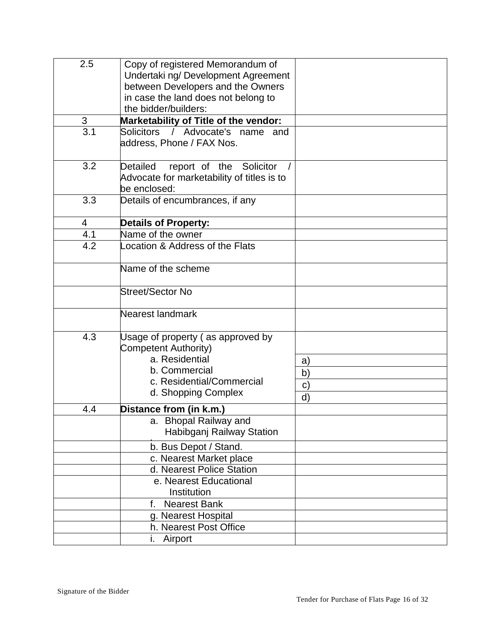| 2.5 | Copy of registered Memorandum of           |              |
|-----|--------------------------------------------|--------------|
|     | Undertaki ng/Development Agreement         |              |
|     | between Developers and the Owners          |              |
|     | in case the land does not belong to        |              |
|     | the bidder/builders:                       |              |
| 3   | Marketability of Title of the vendor:      |              |
| 3.1 | Solicitors / Advocate's name and           |              |
|     | address, Phone / FAX Nos.                  |              |
|     |                                            |              |
| 3.2 | report of the Solicitor<br>Detailed        |              |
|     | Advocate for marketability of titles is to |              |
|     | be enclosed:                               |              |
| 3.3 | Details of encumbrances, if any            |              |
|     |                                            |              |
| 4   | <b>Details of Property:</b>                |              |
| 4.1 | Name of the owner                          |              |
| 4.2 | Location & Address of the Flats            |              |
|     |                                            |              |
|     | Name of the scheme                         |              |
|     |                                            |              |
|     | Street/Sector No                           |              |
|     |                                            |              |
|     | Nearest landmark                           |              |
|     |                                            |              |
| 4.3 | Usage of property (as approved by          |              |
|     | Competent Authority)                       |              |
|     | a. Residential                             | a)           |
|     | b. Commercial                              |              |
|     | c. Residential/Commercial                  | b)           |
|     | d. Shopping Complex                        | $\mathbf{C}$ |
|     |                                            | d)           |
| 4.4 | Distance from (in k.m.)                    |              |
|     | a. Bhopal Railway and                      |              |
|     | Habibganj Railway Station                  |              |
|     | b. Bus Depot / Stand.                      |              |
|     | c. Nearest Market place                    |              |
|     | d. Nearest Police Station                  |              |
|     | e. Nearest Educational                     |              |
|     | Institution                                |              |
|     | <b>Nearest Bank</b><br>f.                  |              |
|     | g. Nearest Hospital                        |              |
|     | h. Nearest Post Office                     |              |
|     | Airport<br>i.                              |              |
|     |                                            |              |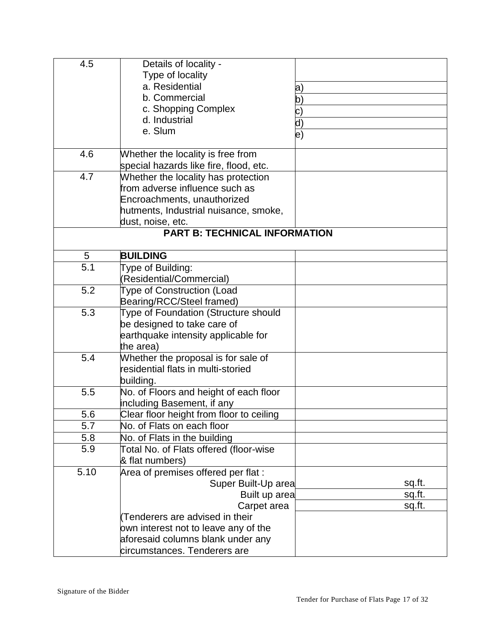| 4.5  | Details of locality -                    |                    |
|------|------------------------------------------|--------------------|
|      | Type of locality                         |                    |
|      | a. Residential                           | $ {\rm a})$        |
|      | b. Commercial                            | $ {\rm b})$        |
|      | c. Shopping Complex                      |                    |
|      | d. Industrial                            | c)                 |
|      | e. Slum                                  | d)                 |
|      |                                          | $\ket{\mathrm{e}}$ |
| 4.6  | Whether the locality is free from        |                    |
|      | special hazards like fire, flood, etc.   |                    |
| 4.7  | Whether the locality has protection      |                    |
|      | from adverse influence such as           |                    |
|      | Encroachments, unauthorized              |                    |
|      | hutments, Industrial nuisance, smoke,    |                    |
|      | dust, noise, etc.                        |                    |
|      | <b>PART B: TECHNICAL INFORMATION</b>     |                    |
| 5    | <b>BUILDING</b>                          |                    |
| 5.1  | Type of Building:                        |                    |
|      | (Residential/Commercial)                 |                    |
| 5.2  | <b>Type of Construction (Load</b>        |                    |
|      | Bearing/RCC/Steel framed)                |                    |
| 5.3  | Type of Foundation (Structure should     |                    |
|      | be designed to take care of              |                    |
|      | earthquake intensity applicable for      |                    |
|      | the area)                                |                    |
| 5.4  | Whether the proposal is for sale of      |                    |
|      | residential flats in multi-storied       |                    |
|      | building.                                |                    |
| 5.5  | No. of Floors and height of each floor   |                    |
|      | including Basement, if any               |                    |
| 5.6  | Clear floor height from floor to ceiling |                    |
| 5.7  | No. of Flats on each floor               |                    |
| 5.8  | No. of Flats in the building             |                    |
| 5.9  | Total No. of Flats offered (floor-wise   |                    |
|      | & flat numbers)                          |                    |
|      |                                          |                    |
| 5.10 | Area of premises offered per flat :      |                    |
|      | Super Built-Up area                      | sq.ft.             |
|      | Built up area                            | sq.ft.             |
|      | Carpet area                              | sq.ft.             |
|      | Tenderers are advised in their           |                    |
|      | own interest not to leave any of the     |                    |
|      | aforesaid columns blank under any        |                    |
|      | circumstances. Tenderers are             |                    |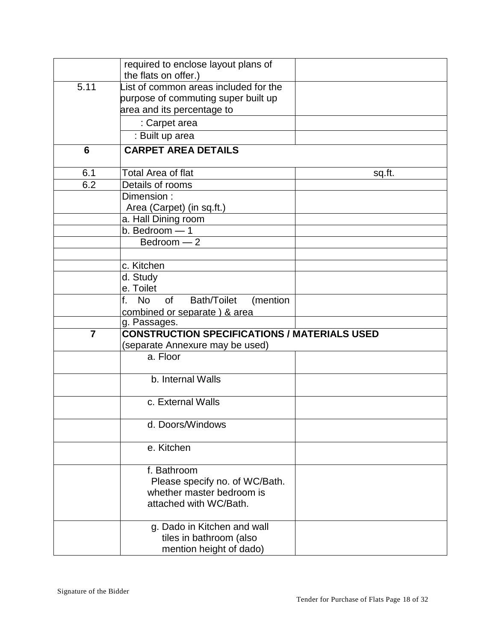|                | required to enclose layout plans of<br>the flats on offer.) |        |
|----------------|-------------------------------------------------------------|--------|
| 5.11           | List of common areas included for the                       |        |
|                |                                                             |        |
|                | purpose of commuting super built up                         |        |
|                | area and its percentage to                                  |        |
|                | : Carpet area                                               |        |
|                | : Built up area                                             |        |
| 6              | <b>CARPET AREA DETAILS</b>                                  |        |
| 6.1            | Total Area of flat                                          | sq.ft. |
| 6.2            | Details of rooms                                            |        |
|                | Dimension:                                                  |        |
|                | Area (Carpet) (in sq.ft.)                                   |        |
|                | a. Hall Dining room                                         |        |
|                | b. Bedroom - 1                                              |        |
|                | Bedroom - 2                                                 |        |
|                |                                                             |        |
|                | c. Kitchen                                                  |        |
|                | d. Study                                                    |        |
|                | e. Toilet                                                   |        |
|                | f. No<br>of<br><b>Bath/Toilet</b><br>(mention               |        |
|                | combined or separate) & area                                |        |
|                | g. Passages.                                                |        |
| $\overline{7}$ | <b>CONSTRUCTION SPECIFICATIONS / MATERIALS USED</b>         |        |
|                | (separate Annexure may be used)                             |        |
|                | a. Floor                                                    |        |
|                |                                                             |        |
|                | b. Internal Walls                                           |        |
|                |                                                             |        |
|                | c. External Walls                                           |        |
|                | d. Doors/Windows                                            |        |
|                |                                                             |        |
|                | e. Kitchen                                                  |        |
|                | f. Bathroom                                                 |        |
|                | Please specify no. of WC/Bath.                              |        |
|                | whether master bedroom is                                   |        |
|                | attached with WC/Bath.                                      |        |
|                |                                                             |        |
|                | g. Dado in Kitchen and wall                                 |        |
|                | tiles in bathroom (also                                     |        |
|                | mention height of dado)                                     |        |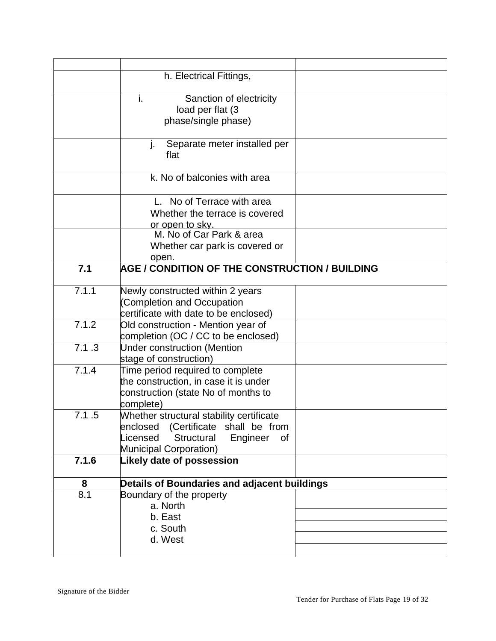|       | h. Electrical Fittings,                         |  |
|-------|-------------------------------------------------|--|
|       |                                                 |  |
|       | i.<br>Sanction of electricity                   |  |
|       | load per flat (3                                |  |
|       | phase/single phase)                             |  |
|       |                                                 |  |
|       | Separate meter installed per<br>j.              |  |
|       | flat                                            |  |
|       |                                                 |  |
|       | k. No of balconies with area                    |  |
|       |                                                 |  |
|       | L. No of Terrace with area                      |  |
|       | Whether the terrace is covered                  |  |
|       | <u>or open to sky.</u>                          |  |
|       | M. No of Car Park & area                        |  |
|       | Whether car park is covered or                  |  |
|       | open.                                           |  |
| 7.1   | AGE / CONDITION OF THE CONSTRUCTION / BUILDING  |  |
|       |                                                 |  |
| 7.1.1 | Newly constructed within 2 years                |  |
|       | (Completion and Occupation                      |  |
|       | certificate with date to be enclosed)           |  |
| 7.1.2 | Old construction - Mention year of              |  |
|       | completion (OC / CC to be enclosed)             |  |
| 7.1.3 | <b>Under construction (Mention</b>              |  |
|       | stage of construction)                          |  |
| 7.1.4 | Time period required to complete                |  |
|       | the construction, in case it is under           |  |
|       | construction (state No of months to             |  |
|       | complete)                                       |  |
| 7.1.5 | Whether structural stability certificate        |  |
|       | enclosed (Certificate shall be from             |  |
|       | Licensed<br><b>Structural</b><br>Engineer<br>0f |  |
|       | Municipal Corporation)                          |  |
| 7.1.6 | <b>Likely date of possession</b>                |  |
|       |                                                 |  |
| 8     | Details of Boundaries and adjacent buildings    |  |
| 8.1   | Boundary of the property                        |  |
|       | a. North                                        |  |
|       | b. East                                         |  |
|       | c. South                                        |  |
|       | d. West                                         |  |
|       |                                                 |  |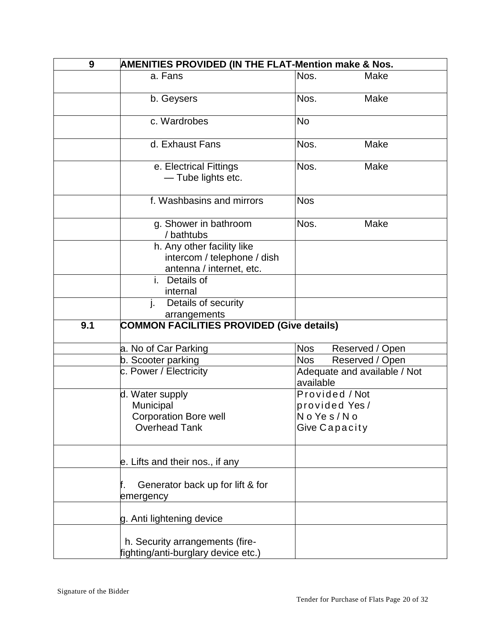| 9   | <b>AMENITIES PROVIDED (IN THE FLAT-Mention make &amp; Nos.</b>                        |                |                              |
|-----|---------------------------------------------------------------------------------------|----------------|------------------------------|
|     | a. Fans                                                                               | Nos.           | Make                         |
|     | b. Geysers                                                                            | Nos.           | Make                         |
|     | c. Wardrobes                                                                          | <b>No</b>      |                              |
|     | d. Exhaust Fans                                                                       | Nos.           | Make                         |
|     | e. Electrical Fittings<br>- Tube lights etc.                                          | Nos.           | Make                         |
|     | f. Washbasins and mirrors                                                             | <b>Nos</b>     |                              |
|     | g. Shower in bathroom<br>/ bathtubs                                                   | Nos.           | Make                         |
|     | h. Any other facility like<br>intercom / telephone / dish<br>antenna / internet, etc. |                |                              |
|     | i. Details of<br>internal                                                             |                |                              |
|     | j.<br>Details of security<br>arrangements                                             |                |                              |
| 9.1 | <b>COMMON FACILITIES PROVIDED (Give details)</b>                                      |                |                              |
|     | a. No of Car Parking                                                                  | <b>Nos</b>     | Reserved / Open              |
|     | b. Scooter parking                                                                    | <b>Nos</b>     | Reserved / Open              |
|     | c. Power / Electricity                                                                | available      | Adequate and available / Not |
|     | d. Water supply                                                                       | Provided / Not |                              |
|     | Municipal                                                                             | provided Yes/  |                              |
|     | <b>Corporation Bore well</b>                                                          | No Yes/No      |                              |
|     | <b>Overhead Tank</b>                                                                  | Give Capacity  |                              |
|     | e. Lifts and their nos., if any                                                       |                |                              |
|     | Generator back up for lift & for<br>emergency                                         |                |                              |
|     | g. Anti lightening device                                                             |                |                              |
|     | h. Security arrangements (fire-<br>fighting/anti-burglary device etc.)                |                |                              |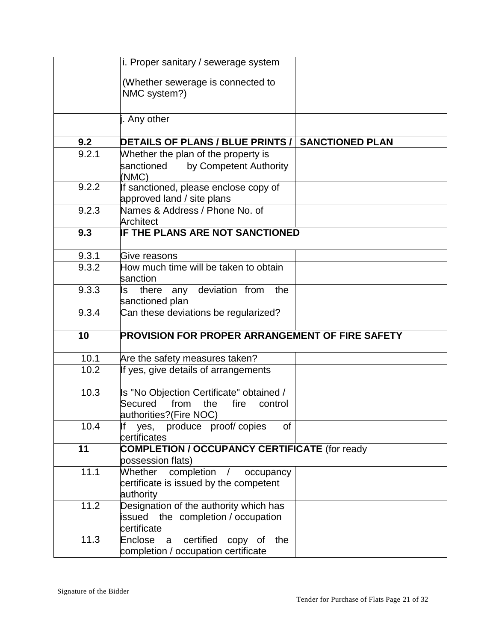|       | i. Proper sanitary / sewerage system                                                                            |                        |
|-------|-----------------------------------------------------------------------------------------------------------------|------------------------|
|       | (Whether sewerage is connected to<br>NMC system?)                                                               |                        |
|       | j. Any other                                                                                                    |                        |
| 9.2   | DETAILS OF PLANS / BLUE PRINTS /                                                                                | <b>SANCTIONED PLAN</b> |
| 9.2.1 | Whether the plan of the property is<br>by Competent Authority<br>sanctioned<br>(NMC)                            |                        |
| 9.2.2 | If sanctioned, please enclose copy of<br>approved land / site plans                                             |                        |
| 9.2.3 | Names & Address / Phone No. of<br>Architect                                                                     |                        |
| 9.3   | IF THE PLANS ARE NOT SANCTIONED                                                                                 |                        |
| 9.3.1 | Give reasons                                                                                                    |                        |
| 9.3.2 | How much time will be taken to obtain<br>sanction                                                               |                        |
| 9.3.3 | there any deviation from<br>ls<br>the<br>sanctioned plan                                                        |                        |
| 9.3.4 | Can these deviations be regularized?                                                                            |                        |
| 10    | <b>PROVISION FOR PROPER ARRANGEMENT OF FIRE SAFETY</b>                                                          |                        |
| 10.1  | Are the safety measures taken?                                                                                  |                        |
| 10.2  | If yes, give details of arrangements                                                                            |                        |
| 10.3  | Is "No Objection Certificate" obtained /<br>Secured<br>from<br>the<br>fire<br>control<br>authorities?(Fire NOC) |                        |
| 10.4  | produce proof/copies<br>lf<br>0f<br>yes,<br>certificates                                                        |                        |
| 11    | <b>COMPLETION / OCCUPANCY CERTIFICATE (for ready</b><br>possession flats)                                       |                        |
| 11.1  | completion /<br>occupancy<br>Whether<br>certificate is issued by the competent<br>authority                     |                        |
| 11.2  | Designation of the authority which has<br>issued the completion / occupation<br>certificate                     |                        |
| 11.3  | certified<br>the<br>Enclose<br>copy of<br>a<br>completion / occupation certificate                              |                        |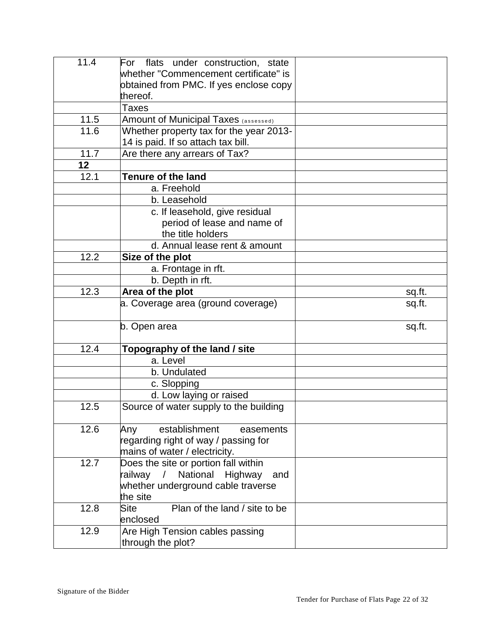| 11.4   | For flats under construction, state                                   |        |
|--------|-----------------------------------------------------------------------|--------|
|        | whether "Commencement certificate" is                                 |        |
|        | obtained from PMC. If yes enclose copy                                |        |
|        | thereof.                                                              |        |
|        | <b>Taxes</b>                                                          |        |
| $11.5$ | <b>Amount of Municipal Taxes (assessed)</b>                           |        |
| 11.6   | Whether property tax for the year 2013-                               |        |
|        | 14 is paid. If so attach tax bill.                                    |        |
| 11.7   | Are there any arrears of Tax?                                         |        |
| 12     |                                                                       |        |
| 12.1   | <b>Tenure of the land</b>                                             |        |
|        | a. Freehold                                                           |        |
|        | b. Leasehold                                                          |        |
|        | c. If leasehold, give residual                                        |        |
|        | period of lease and name of                                           |        |
|        | the title holders                                                     |        |
|        | d. Annual lease rent & amount                                         |        |
| 12.2   | Size of the plot                                                      |        |
|        | a. Frontage in rft.                                                   |        |
|        | b. Depth in rft.                                                      |        |
| 12.3   | Area of the plot                                                      | sq.ft. |
|        | a. Coverage area (ground coverage)                                    | sq.ft. |
|        |                                                                       |        |
|        | b. Open area                                                          | sq.ft. |
|        |                                                                       |        |
| 12.4   | Topography of the land / site                                         |        |
|        | a. Level                                                              |        |
|        | b. Undulated                                                          |        |
|        | c. Slopping                                                           |        |
|        | d. Low laying or raised                                               |        |
| 12.5   | Source of water supply to the building                                |        |
| 12.6   |                                                                       |        |
|        | establishment<br>Any<br>easements                                     |        |
|        | regarding right of way / passing for<br>mains of water / electricity. |        |
| 12.7   | Does the site or portion fall within                                  |        |
|        | railway<br>$\sqrt{2}$<br>National Highway<br>and                      |        |
|        | whether underground cable traverse                                    |        |
|        | the site                                                              |        |
| 12.8   | Plan of the land / site to be<br>Site                                 |        |
|        | enclosed                                                              |        |
| 12.9   | Are High Tension cables passing                                       |        |
|        | through the plot?                                                     |        |
|        |                                                                       |        |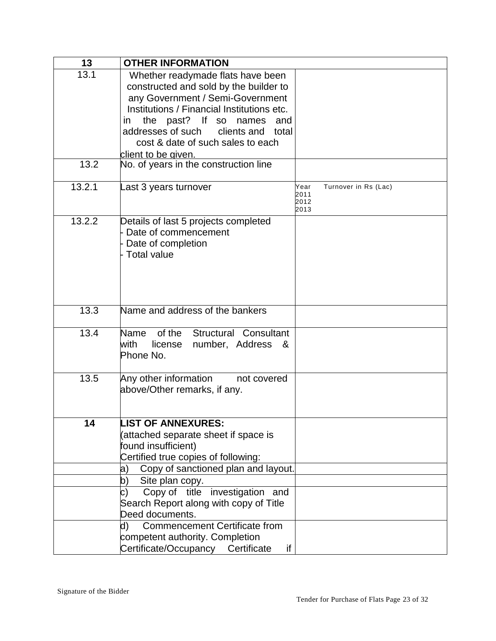| 13     | <b>OTHER INFORMATION</b>                   |                                      |
|--------|--------------------------------------------|--------------------------------------|
| 13.1   | Whether readymade flats have been          |                                      |
|        | constructed and sold by the builder to     |                                      |
|        | any Government / Semi-Government           |                                      |
|        | Institutions / Financial Institutions etc. |                                      |
|        | the past? If so names and<br>ın            |                                      |
|        | addresses of such clients and total        |                                      |
|        | cost & date of such sales to each          |                                      |
|        | client to be given.                        |                                      |
| 13.2   | No. of years in the construction line      |                                      |
|        |                                            |                                      |
| 13.2.1 | Last 3 years turnover                      | Turnover in Rs (Lac)<br>Year<br>2011 |
|        |                                            | 2012<br>2013                         |
| 13.2.2 | Details of last 5 projects completed       |                                      |
|        | Date of commencement                       |                                      |
|        | Date of completion                         |                                      |
|        | <b>Total value</b>                         |                                      |
|        |                                            |                                      |
|        |                                            |                                      |
|        |                                            |                                      |
|        |                                            |                                      |
| 13.3   | Name and address of the bankers            |                                      |
|        |                                            |                                      |
| 13.4   | Structural Consultant<br>of the<br>Name    |                                      |
|        | with<br>license<br>number, Address<br>&    |                                      |
|        | Phone No.                                  |                                      |
| 13.5   | Any other information<br>not covered       |                                      |
|        | above/Other remarks, if any.               |                                      |
|        |                                            |                                      |
|        |                                            |                                      |
| 14     | <b>LIST OF ANNEXURES:</b>                  |                                      |
|        | (attached separate sheet if space is       |                                      |
|        | found insufficient)                        |                                      |
|        | Certified true copies of following:        |                                      |
|        | Copy of sanctioned plan and layout.<br>a)  |                                      |
|        | Site plan copy.<br>b)                      |                                      |
|        | Copy of title investigation and<br>C)      |                                      |
|        | Search Report along with copy of Title     |                                      |
|        | Deed documents.                            |                                      |
|        | <b>Commencement Certificate from</b><br>d) |                                      |
|        | competent authority. Completion            |                                      |
|        | Certificate/Occupancy<br>Certificate<br>if |                                      |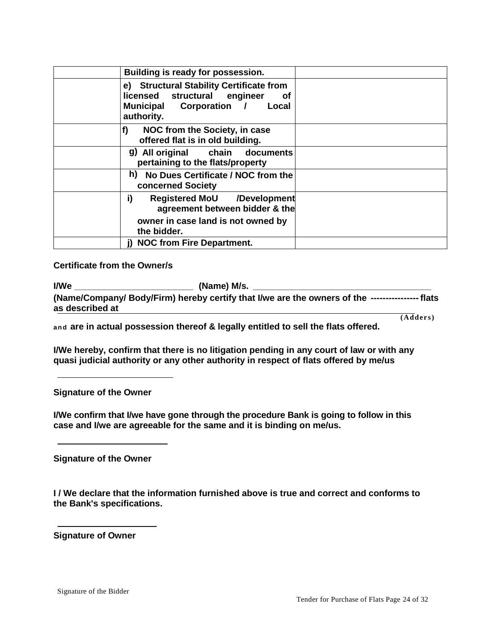| Building is ready for possession.                                                                                                    |  |
|--------------------------------------------------------------------------------------------------------------------------------------|--|
| e) Structural Stability Certificate from<br>licensed structural engineer<br><b>of</b><br>Municipal Corporation / Local<br>authority. |  |
| f)<br>NOC from the Society, in case<br>offered flat is in old building.                                                              |  |
| g) All original chain documents<br>pertaining to the flats/property                                                                  |  |
| h) No Dues Certificate / NOC from the<br><b>concerned Society</b>                                                                    |  |
| i)<br>Registered MoU /Development<br>agreement between bidder & the                                                                  |  |
| owner in case land is not owned by<br>the bidder.                                                                                    |  |
| j) NOC from Fire Department.                                                                                                         |  |

#### **Certificate from the Owner/s**

| I/We            | (Name) M/s.                                                                                      |           |
|-----------------|--------------------------------------------------------------------------------------------------|-----------|
| as described at | (Name/Company/ Body/Firm) hereby certify that I/we are the owners of the ----------------- flats |           |
|                 |                                                                                                  | (Address) |

**and are in actual possession thereof & legally entitled to sell the flats offered.**

**I/We hereby, confirm that there is no litigation pending in any court of law or with any quasi judicial authority or any other authority in respect of flats offered by me/us**

**Signature of the Owner**

**I/We confirm that I/we have gone through the procedure Bank is going to follow in this case and I/we are agreeable for the same and it is binding on me/us.**

**Signature of the Owner**

**I / We declare that the information furnished above is true and correct and conforms to the Bank's specifications.**

**Signature of Owner**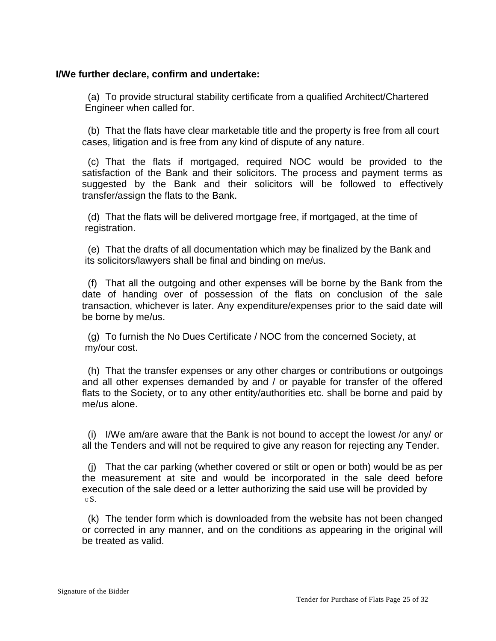#### **I/We further declare, confirm and undertake:**

(a) To provide structural stability certificate from a qualified Architect/Chartered Engineer when called for.

(b) That the flats have clear marketable title and the property is free from all court cases, litigation and is free from any kind of dispute of any nature.

(c) That the flats if mortgaged, required NOC would be provided to the satisfaction of the Bank and their solicitors. The process and payment terms as suggested by the Bank and their solicitors will be followed to effectively transfer/assign the flats to the Bank.

(d) That the flats will be delivered mortgage free, if mortgaged, at the time of registration.

(e) That the drafts of all documentation which may be finalized by the Bank and its solicitors/lawyers shall be final and binding on me/us.

(f) That all the outgoing and other expenses will be borne by the Bank from the date of handing over of possession of the flats on conclusion of the sale transaction, whichever is later. Any expenditure/expenses prior to the said date will be borne by me/us.

(g) To furnish the No Dues Certificate / NOC from the concerned Society, at my/our cost.

(h) That the transfer expenses or any other charges or contributions or outgoings and all other expenses demanded by and / or payable for transfer of the offered flats to the Society, or to any other entity/authorities etc. shall be borne and paid by me/us alone.

(i) I/We am/are aware that the Bank is not bound to accept the lowest /or any/ or all the Tenders and will not be required to give any reason for rejecting any Tender.

(j) That the car parking (whether covered or stilt or open or both) would be as per the measurement at site and would be incorporated in the sale deed before execution of the sale deed or a letter authorizing the said use will be provided by <sup>U</sup>S.

(k) The tender form which is downloaded from the website has not been changed or corrected in any manner, and on the conditions as appearing in the original will be treated as valid.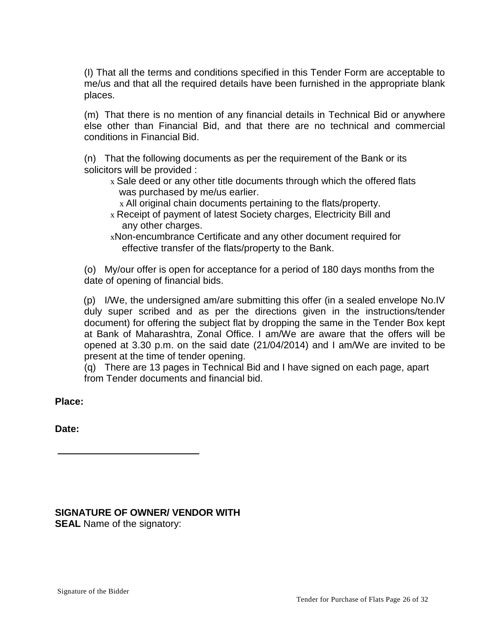(I) That all the terms and conditions specified in this Tender Form are acceptable to me/us and that all the required details have been furnished in the appropriate blank places.

(m) That there is no mention of any financial details in Technical Bid or anywhere else other than Financial Bid, and that there are no technical and commercial conditions in Financial Bid.

(n) That the following documents as per the requirement of the Bank or its solicitors will be provided :

- x Sale deed or any other title documents through which the offered flats was purchased by me/us earlier.
	- x All original chain documents pertaining to the flats/property.
- x Receipt of payment of latest Society charges, Electricity Bill and any other charges.
- xNon-encumbrance Certificate and any other document required for effective transfer of the flats/property to the Bank.

(o) My/our offer is open for acceptance for a period of 180 days months from the date of opening of financial bids.

(p) I/We, the undersigned am/are submitting this offer (in a sealed envelope No.IV duly super scribed and as per the directions given in the instructions/tender document) for offering the subject flat by dropping the same in the Tender Box kept at Bank of Maharashtra, Zonal Office. I am/We are aware that the offers will be opened at 3.30 p.m. on the said date (21/04/2014) and I am/We are invited to be present at the time of tender opening.

(q) There are 13 pages in Technical Bid and I have signed on each page, apart from Tender documents and financial bid.

**Place:** 

**Date:**

**SIGNATURE OF OWNER/ VENDOR WITH SEAL** Name of the signatory: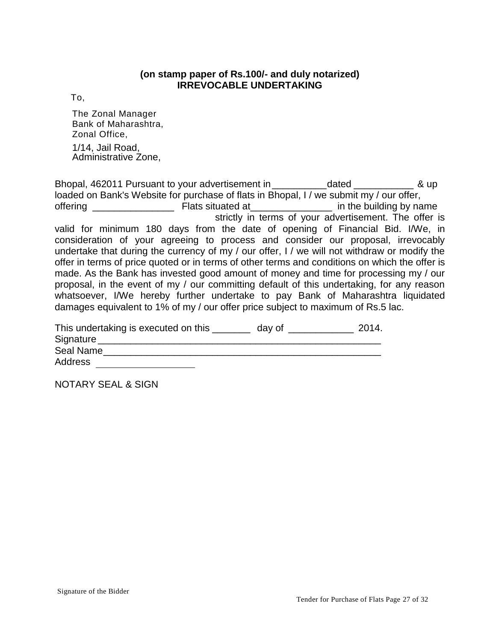#### **(on stamp paper of Rs.100/- and duly notarized) IRREVOCABLE UNDERTAKING**

To,

The Zonal Manager Bank of Maharashtra, Zonal Office,

1/14, Jail Road, Administrative Zone,

Bhopal, 462011 Pursuant to your advertisement in \_\_\_\_\_\_\_\_\_\_dated \_\_\_\_\_\_\_\_\_\_\_ & up loaded on Bank's Website for purchase of flats in Bhopal, I / we submit my / our offer, offering \_\_\_\_\_\_\_\_\_\_\_\_\_\_\_ Flats situated at\_\_\_\_\_\_\_\_\_\_\_\_\_\_\_ in the building by name strictly in terms of your advertisement. The offer is valid for minimum 180 days from the date of opening of Financial Bid. I/We, in consideration of your agreeing to process and consider our proposal, irrevocably undertake that during the currency of my / our offer, I / we will not withdraw or modify the offer in terms of price quoted or in terms of other terms and conditions on which the offer is made. As the Bank has invested good amount of money and time for processing my / our proposal, in the event of my / our committing default of this undertaking, for any reason whatsoever, I/We hereby further undertake to pay Bank of Maharashtra liquidated damages equivalent to 1% of my / our offer price subject to maximum of Rs.5 lac.

| This undertaking is executed on this | day of | 2014. |
|--------------------------------------|--------|-------|
| Signature                            |        |       |
| Seal Name                            |        |       |
| Address                              |        |       |

NOTARY SEAL & SIGN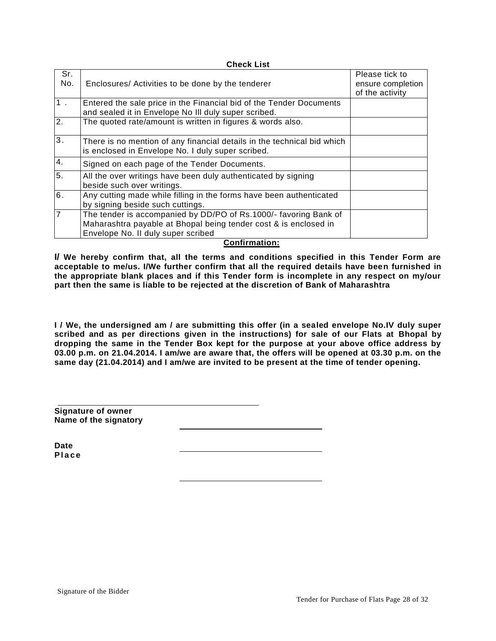|                | <b>Check List</b>                                                                                                                                                                   |                                                        |
|----------------|-------------------------------------------------------------------------------------------------------------------------------------------------------------------------------------|--------------------------------------------------------|
| Sr.<br>No.     | Enclosures/ Activities to be done by the tenderer                                                                                                                                   | Please tick to<br>ensure completion<br>of the activity |
| 1.             | Entered the sale price in the Financial bid of the Tender Documents<br>and sealed it in Envelope No III duly super scribed.                                                         |                                                        |
| 2.             | The quoted rate/amount is written in figures & words also.                                                                                                                          |                                                        |
| 3.             | There is no mention of any financial details in the technical bid which<br>is enclosed in Envelope No. I duly super scribed.                                                        |                                                        |
| 4.             | Signed on each page of the Tender Documents.                                                                                                                                        |                                                        |
| 5.             | All the over writings have been duly authenticated by signing<br>beside such over writings.                                                                                         |                                                        |
| 6.             | Any cutting made while filling in the forms have been authenticated<br>by signing beside such cuttings.                                                                             |                                                        |
| $\overline{7}$ | The tender is accompanied by DD/PO of Rs.1000/- favoring Bank of<br>Maharashtra payable at Bhopal being tender cost & is enclosed in<br>Envelope No. II duly super scribed<br><br>. |                                                        |

#### **Confirmation:**

**I/ We hereby confirm that, all the terms and conditions specified in this Tender Form are acceptable to me/us. I/We further confirm that all the required details have been furnished in the appropriate blank places and if this Tender form is incomplete in any respect on my/our part then the same is liable to be rejected at the discretion of Bank of Maharashtra**

**I / We, the undersigned am / are submitting this offer (in a sealed envelope No.IV duly super scribed and as per directions given in the instructions) for sale of our Flats at Bhopal by dropping the same in the Tender Box kept for the purpose at your above office address by 03.00 p.m. on 21.04.2014. I am/we are aware that, the offers will be opened at 03.30 p.m. on the same day (21.04.2014) and I am/we are invited to be present at the time of tender opening.**

**Signature of owner Name of the signatory**

**Date P l a c e**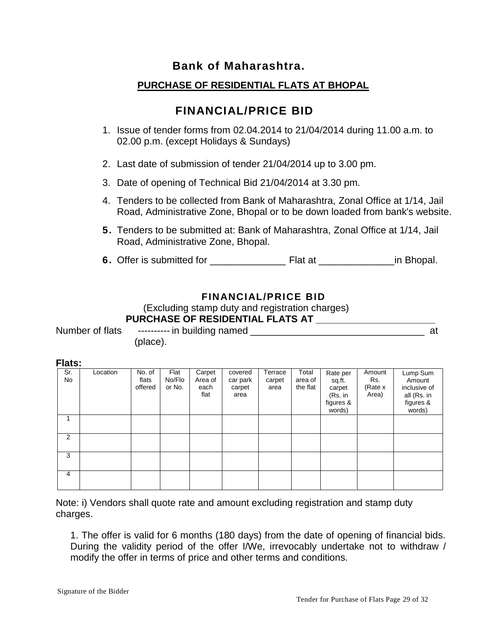# **Bank of Maharashtra.**

# **PURCHASE OF RESIDENTIAL FLATS AT BHOPAL**

# **FINANCIAL/PRICE BID**

- 1. Issue of tender forms from 02.04.2014 to 21/04/2014 during 11.00 a.m. to 02.00 p.m. (except Holidays & Sundays)
- 2. Last date of submission of tender 21/04/2014 up to 3.00 pm.
- 3. Date of opening of Technical Bid 21/04/2014 at 3.30 pm.
- 4. Tenders to be collected from Bank of Maharashtra, Zonal Office at 1/14, Jail Road, Administrative Zone, Bhopal or to be down loaded from bank's website.
- **5.** Tenders to be submitted at: Bank of Maharashtra, Zonal Office at 1/14, Jail Road, Administrative Zone, Bhopal.
- **6.** Offer is submitted for \_\_\_\_\_\_\_\_\_\_\_\_\_\_ Flat at \_\_\_\_\_\_\_\_\_\_\_\_\_\_in Bhopal.

# **FINANCIAL/PRICE BID**

(Excluding stamp duty and registration charges)

# **PURCHASE OF RESIDENTIAL FLATS AT \_\_\_\_\_\_\_\_\_\_\_\_\_\_\_\_\_\_\_\_\_\_**

Number of flats ----------- in building named and a set of the state of the state of the state of the state of

(place).

#### **Flats:**

| . .uw.    |          |                            |                          |                                   |                                       |                           |                              |                                                                |                                   |                                                                          |
|-----------|----------|----------------------------|--------------------------|-----------------------------------|---------------------------------------|---------------------------|------------------------------|----------------------------------------------------------------|-----------------------------------|--------------------------------------------------------------------------|
| Sr.<br>No | Location | No. of<br>flats<br>offered | Flat<br>No/Flo<br>or No. | Carpet<br>Area of<br>each<br>flat | covered<br>car park<br>carpet<br>area | Terrace<br>carpet<br>area | Total<br>area of<br>the flat | Rate per<br>sq.ft.<br>carpet<br>(Rs. in<br>figures &<br>words) | Amount<br>Rs.<br>(Rate x<br>Area) | Lump Sum<br>Amount<br>inclusive of<br>all (Rs. in<br>figures &<br>words) |
|           |          |                            |                          |                                   |                                       |                           |                              |                                                                |                                   |                                                                          |
| 2         |          |                            |                          |                                   |                                       |                           |                              |                                                                |                                   |                                                                          |
| 3         |          |                            |                          |                                   |                                       |                           |                              |                                                                |                                   |                                                                          |
| 4         |          |                            |                          |                                   |                                       |                           |                              |                                                                |                                   |                                                                          |

Note: i) Vendors shall quote rate and amount excluding registration and stamp duty charges.

1. The offer is valid for 6 months (180 days) from the date of opening of financial bids. During the validity period of the offer I/We, irrevocably undertake not to withdraw / modify the offer in terms of price and other terms and conditions.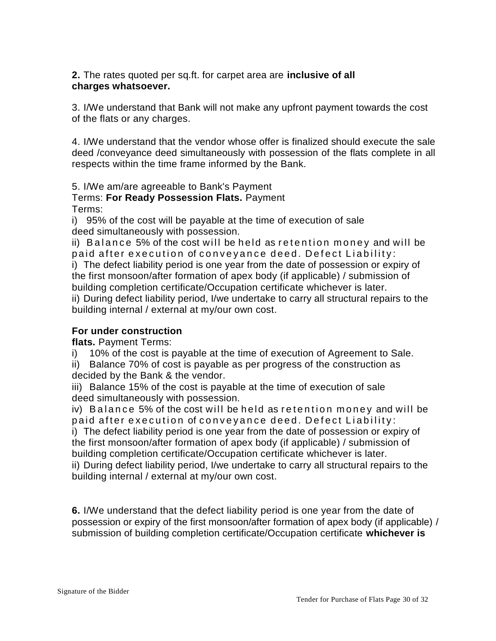**2.** The rates quoted per sq.ft. for carpet area are **inclusive of all charges whatsoever.**

3. I/We understand that Bank will not make any upfront payment towards the cost of the flats or any charges.

4. I/We understand that the vendor whose offer is finalized should execute the sale deed /conveyance deed simultaneously with possession of the flats complete in all respects within the time frame informed by the Bank.

5. I/We am/are agreeable to Bank's Payment

Terms: **For Ready Possession Flats.** Payment Terms:

i) 95% of the cost will be payable at the time of execution of sale deed simultaneously with possession.

ii) Balance 5% of the cost will be held as retention money and will be paid after execution of conveyance deed. Defect Liability:

i) The defect liability period is one year from the date of possession or expiry of the first monsoon/after formation of apex body (if applicable) / submission of building completion certificate/Occupation certificate whichever is later. ii) During defect liability period, I/we undertake to carry all structural repairs to the building internal / external at my/our own cost.

# **For under construction**

**flats.** Payment Terms:

i) 10% of the cost is payable at the time of execution of Agreement to Sale.

ii) Balance 70% of cost is payable as per progress of the construction as decided by the Bank & the vendor.

iii) Balance 15% of the cost is payable at the time of execution of sale deed simultaneously with possession.

iv) Balance 5% of the cost will be held as retention money and will be paid after execution of conveyance deed. Defect Liability:

i) The defect liability period is one year from the date of possession or expiry of the first monsoon/after formation of apex body (if applicable) / submission of building completion certificate/Occupation certificate whichever is later.

ii) During defect liability period, I/we undertake to carry all structural repairs to the building internal / external at my/our own cost.

**6.** I/We understand that the defect liability period is one year from the date of possession or expiry of the first monsoon/after formation of apex body (if applicable) / submission of building completion certificate/Occupation certificate **whichever is**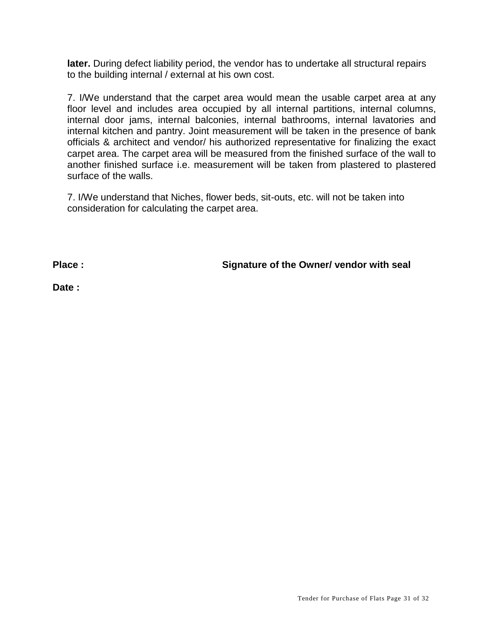**later.** During defect liability period, the vendor has to undertake all structural repairs to the building internal / external at his own cost.

7. I/We understand that the carpet area would mean the usable carpet area at any floor level and includes area occupied by all internal partitions, internal columns, internal door jams, internal balconies, internal bathrooms, internal lavatories and internal kitchen and pantry. Joint measurement will be taken in the presence of bank officials & architect and vendor/ his authorized representative for finalizing the exact carpet area. The carpet area will be measured from the finished surface of the wall to another finished surface i.e. measurement will be taken from plastered to plastered surface of the walls.

7. I/We understand that Niches, flower beds, sit-outs, etc. will not be taken into consideration for calculating the carpet area.

**Place : Signature of the Owner/ vendor with seal**

**Date :**